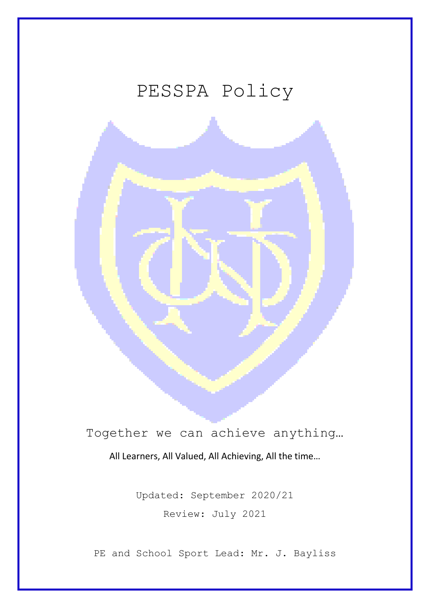# PESSPA Policy



# Together we can achieve anything…

All Learners, All Valued, All Achieving, All the time…

Updated: September 2020/21 Review: July 2021

PE and School Sport Lead: Mr. J. Bayliss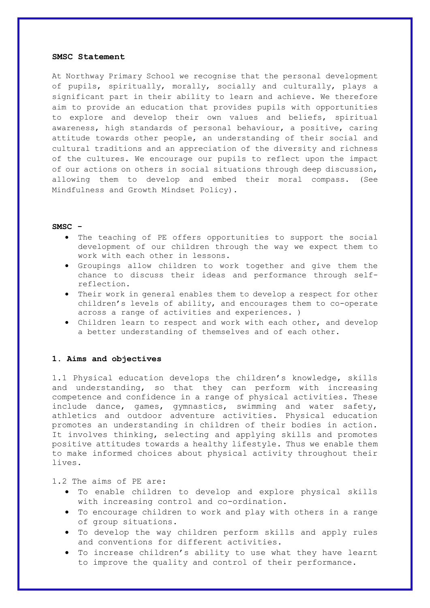#### **SMSC Statement**

At Northway Primary School we recognise that the personal development of pupils, spiritually, morally, socially and culturally, plays a significant part in their ability to learn and achieve. We therefore aim to provide an education that provides pupils with opportunities to explore and develop their own values and beliefs, spiritual awareness, high standards of personal behaviour, a positive, caring attitude towards other people, an understanding of their social and cultural traditions and an appreciation of the diversity and richness of the cultures. We encourage our pupils to reflect upon the impact of our actions on others in social situations through deep discussion, allowing them to develop and embed their moral compass. (See Mindfulness and Growth Mindset Policy).

#### **SMSC -**

- The teaching of PE offers opportunities to support the social development of our children through the way we expect them to work with each other in lessons.
- Groupings allow children to work together and give them the chance to discuss their ideas and performance through selfreflection.
- Their work in general enables them to develop a respect for other children's levels of ability, and encourages them to co-operate across a range of activities and experiences. )
- Children learn to respect and work with each other, and develop a better understanding of themselves and of each other.

# **1. Aims and objectives**

1.1 Physical education develops the children's knowledge, skills and understanding, so that they can perform with increasing competence and confidence in a range of physical activities. These include dance, games, gymnastics, swimming and water safety, athletics and outdoor adventure activities. Physical education promotes an understanding in children of their bodies in action. It involves thinking, selecting and applying skills and promotes positive attitudes towards a healthy lifestyle. Thus we enable them to make informed choices about physical activity throughout their lives.

1.2 The aims of PE are:

- To enable children to develop and explore physical skills with increasing control and co-ordination.
- To encourage children to work and play with others in a range of group situations.
- To develop the way children perform skills and apply rules and conventions for different activities.
- To increase children's ability to use what they have learnt to improve the quality and control of their performance.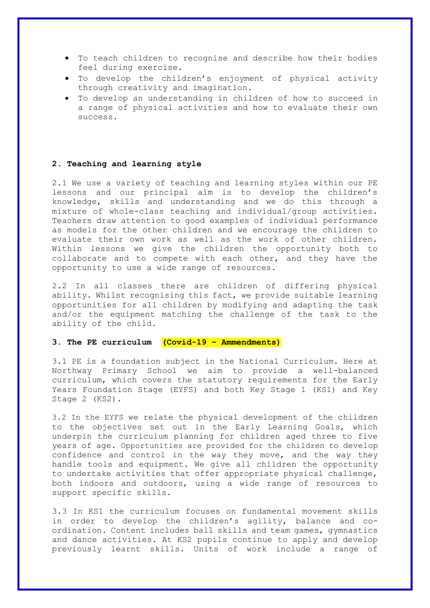- To teach children to recognise and describe how their bodies feel during exercise.
- To develop the children's enjoyment of physical activity through creativity and imagination.
- To develop an understanding in children of how to succeed in a range of physical activities and how to evaluate their own success.

# **2. Teaching and learning style**

2.1 We use a variety of teaching and learning styles within our PE lessons and our principal aim is to develop the children's knowledge, skills and understanding and we do this through a mixture of whole-class teaching and individual/group activities. Teachers draw attention to good examples of individual performance as models for the other children and we encourage the children to evaluate their own work as well as the work of other children. Within lessons we give the children the opportunity both to collaborate and to compete with each other, and they have the opportunity to use a wide range of resources.

2.2 In all classes there are children of differing physical ability. Whilst recognising this fact, we provide suitable learning opportunities for all children by modifying and adapting the task and/or the equipment matching the challenge of the task to the ability of the child.

# **3. The PE curriculum (Covid-19 – Ammendments)**

3.1 PE is a foundation subject in the National Curriculum. Here at Northway Primary School we aim to provide a well-balanced curriculum, which covers the statutory requirements for the Early Years Foundation Stage (EYFS) and both Key Stage 1 (KS1) and Key Stage 2 (KS2).

3.2 In the EYFS we relate the physical development of the children to the objectives set out in the Early Learning Goals, which underpin the curriculum planning for children aged three to five years of age. Opportunities are provided for the children to develop confidence and control in the way they move, and the way they handle tools and equipment. We give all children the opportunity to undertake activities that offer appropriate physical challenge, both indoors and outdoors, using a wide range of resources to support specific skills.

3.3 In KS1 the curriculum focuses on fundamental movement skills in order to develop the children's agility, balance and coordination. Content includes ball skills and team games, gymnastics and dance activities. At KS2 pupils continue to apply and develop previously learnt skills. Units of work include a range of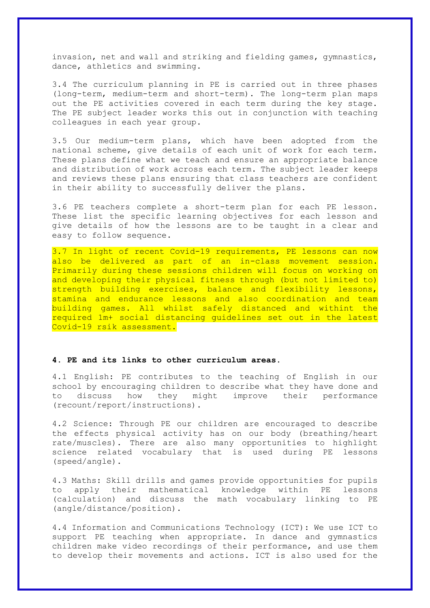invasion, net and wall and striking and fielding games, gymnastics, dance, athletics and swimming.

3.4 The curriculum planning in PE is carried out in three phases (long-term, medium-term and short-term). The long-term plan maps out the PE activities covered in each term during the key stage. The PE subject leader works this out in conjunction with teaching colleagues in each year group.

3.5 Our medium-term plans, which have been adopted from the national scheme, give details of each unit of work for each term. These plans define what we teach and ensure an appropriate balance and distribution of work across each term. The subject leader keeps and reviews these plans ensuring that class teachers are confident in their ability to successfully deliver the plans.

3.6 PE teachers complete a short-term plan for each PE lesson. These list the specific learning objectives for each lesson and give details of how the lessons are to be taught in a clear and easy to follow sequence.

3.7 In light of recent Covid-19 requirements, PE lessons can now also be delivered as part of an in-class movement session. Primarily during these sessions children will focus on working on and developing their physical fitness through (but not limited to) strength building exercises, balance and flexibility lessons, stamina and endurance lessons and also coordination and team building games. All whilst safely distanced and withint the required 1m+ social distancing guidelines set out in the latest Covid-19 rsik assessment.

# **4. PE and its links to other curriculum areas.**

4.1 English: PE contributes to the teaching of English in our school by encouraging children to describe what they have done and to discuss how they might improve their performance (recount/report/instructions).

4.2 Science: Through PE our children are encouraged to describe the effects physical activity has on our body (breathing/heart rate/muscles). There are also many opportunities to highlight science related vocabulary that is used during PE lessons (speed/angle).

4.3 Maths: Skill drills and games provide opportunities for pupils to apply their mathematical knowledge within PE lessons (calculation) and discuss the math vocabulary linking to PE (angle/distance/position).

4.4 Information and Communications Technology (ICT): We use ICT to support PE teaching when appropriate. In dance and gymnastics children make video recordings of their performance, and use them to develop their movements and actions. ICT is also used for the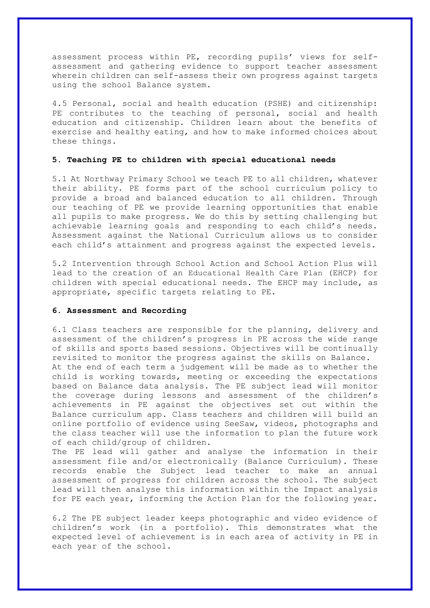assessment process within PE, recording pupils' views for selfassessment and gathering evidence to support teacher assessment wherein children can self-assess their own progress against targets using the school Balance system.

4.5 Personal, social and health education (PSHE) and citizenship: PE contributes to the teaching of personal, social and health education and citizenship. Children learn about the benefits of exercise and healthy eating, and how to make informed choices about these things.

# **5. Teaching PE to children with special educational needs**

5.1 At Northway Primary School we teach PE to all children, whatever their ability. PE forms part of the school curriculum policy to provide a broad and balanced education to all children. Through our teaching of PE we provide learning opportunities that enable all pupils to make progress. We do this by setting challenging but achievable learning goals and responding to each child's needs. Assessment against the National Curriculum allows us to consider each child's attainment and progress against the expected levels.

5.2 Intervention through School Action and School Action Plus will lead to the creation of an Educational Health Care Plan (EHCP) for children with special educational needs. The EHCP may include, as appropriate, specific targets relating to PE.

### **6. Assessment and Recording**

6.1 Class teachers are responsible for the planning, delivery and assessment of the children's progress in PE across the wide range of skills and sports based sessions. Objectives will be continually revisited to monitor the progress against the skills on Balance. At the end of each term a judgement will be made as to whether the child is working towards, meeting or exceeding the expectations based on Balance data analysis. The PE subject lead will monitor the coverage during lessons and assessment of the children's achievements in PE against the objectives set out within the Balance curriculum app. Class teachers and children will build an online portfolio of evidence using SeeSaw, videos, photographs and the class teacher will use the information to plan the future work of each child/group of children.

The PE lead will gather and analyse the information in their assessment file and/or electronically (Balance Curriculum). These records enable the Subject lead teacher to make an annual assessment of progress for children across the school. The subject lead will then analyse this information within the Impact analysis for PE each year, informing the Action Plan for the following year.

6.2 The PE subject leader keeps photographic and video evidence of children's work (in a portfolio). This demonstrates what the expected level of achievement is in each area of activity in PE in each year of the school.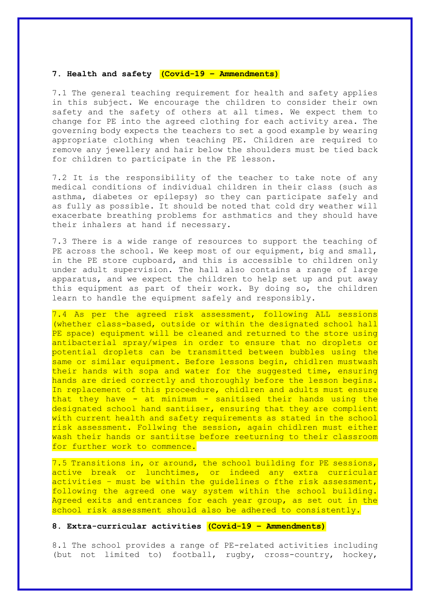# **7. Health and safety (Covid-19 – Ammendments)**

7.1 The general teaching requirement for health and safety applies in this subject. We encourage the children to consider their own safety and the safety of others at all times. We expect them to change for PE into the agreed clothing for each activity area. The governing body expects the teachers to set a good example by wearing appropriate clothing when teaching PE. Children are required to remove any jewellery and hair below the shoulders must be tied back for children to participate in the PE lesson.

7.2 It is the responsibility of the teacher to take note of any medical conditions of individual children in their class (such as asthma, diabetes or epilepsy) so they can participate safely and as fully as possible. It should be noted that cold dry weather will exacerbate breathing problems for asthmatics and they should have their inhalers at hand if necessary.

7.3 There is a wide range of resources to support the teaching of PE across the school. We keep most of our equipment, big and small, in the PE store cupboard, and this is accessible to children only under adult supervision. The hall also contains a range of large apparatus, and we expect the children to help set up and put away this equipment as part of their work. By doing so, the children learn to handle the equipment safely and responsibly.

7.4 As per the agreed risk assessment, following ALL sessions (whether class-based, outside or within the designated school hall PE space) equipment will be cleaned and returned to the store using antibacterial spray/wipes in order to ensure that no droplets or potential droplets can be transmitted between bubbles using the same or similar equipment. Before lessons begin, chidlren mustwash their hands with sopa and water for the suggested time, ensuring hands are dried correctly and thoroughly before the lesson begins. In replacement of this proceedure, chidlren and adults must ensure that they have - at minimum - sanitised their hands using the designated school hand santiiser, ensuring that they are complient with current health and safety requirements as stated in the school risk assessment. Follwing the session, again chidlren must either wash their hands or santiitse before reeturning to their classroom for further work to commence.

7.5 Transitions in, or around, the school building for PE sessions, active break or lunchtimes, or indeed any extra curricular activities - must be within the quidelines o fthe risk assessment, following the agreed one way system within the school building. Agreed exits and entrances for each year group, as set out in the school risk assessment should also be adhered to consistently.

# **8. Extra-curricular activities (Covid-19 – Ammendments)**

8.1 The school provides a range of PE-related activities including (but not limited to) football, rugby, cross-country, hockey,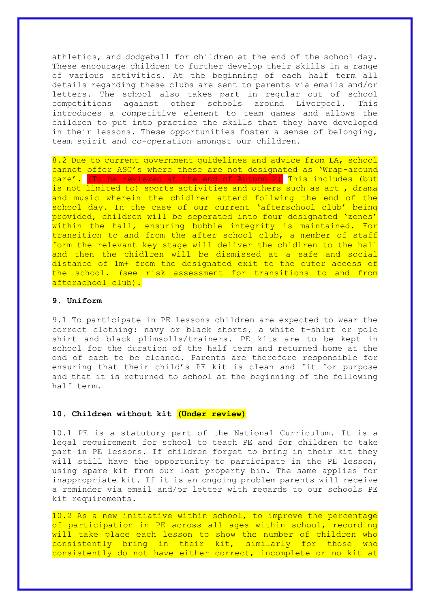athletics, and dodgeball for children at the end of the school day. These encourage children to further develop their skills in a range of various activities. At the beginning of each half term all details regarding these clubs are sent to parents via emails and/or letters. The school also takes part in regular out of school competitions against other schools around Liverpool. This introduces a competitive element to team games and allows the children to put into practice the skills that they have developed in their lessons. These opportunities foster a sense of belonging, team spirit and co-operation amongst our children.

8.2 Due to current government guidelines and advice from LA, school cannot offer ASC's where these are not designated as 'Wrap-around care'. (To be reviewed at the end of Autumn 2) This includes (but is not limited to) sports activities and others such as art , drama and music wherein the chidlren attend follwing the end of the school day. In the case of our current 'afterschool club' being provided, children will be seperated into four designated 'zones' within the hall, ensuring bubble integrity is maintained. For transition to and from the after school club, a member of staff form the relevant key stage will deliver the chidlren to the hall and then the chidlren will be dismissed at a safe and social distance of 1m+ from the designated exit to the outer access of the school. (see risk assessment for transitions to and from afterachool club).

# **9. Uniform**

9.1 To participate in PE lessons children are expected to wear the correct clothing: navy or black shorts, a white t-shirt or polo shirt and black plimsolls/trainers. PE kits are to be kept in school for the duration of the half term and returned home at the end of each to be cleaned. Parents are therefore responsible for ensuring that their child's PE kit is clean and fit for purpose and that it is returned to school at the beginning of the following half term.

## **10. Children without kit (Under review)**

10.1 PE is a statutory part of the National Curriculum. It is a legal requirement for school to teach PE and for children to take part in PE lessons. If children forget to bring in their kit they will still have the opportunity to participate in the PE lesson, using spare kit from our lost property bin. The same applies for inappropriate kit. If it is an ongoing problem parents will receive a reminder via email and/or letter with regards to our schools PE kit requirements.

10.2 As a new initiative within school, to improve the percentage of participation in PE across all ages within school, recording will take place each lesson to show the number of children who consistently bring in their kit, similarly for those who consistently do not have either correct, incomplete or no kit at